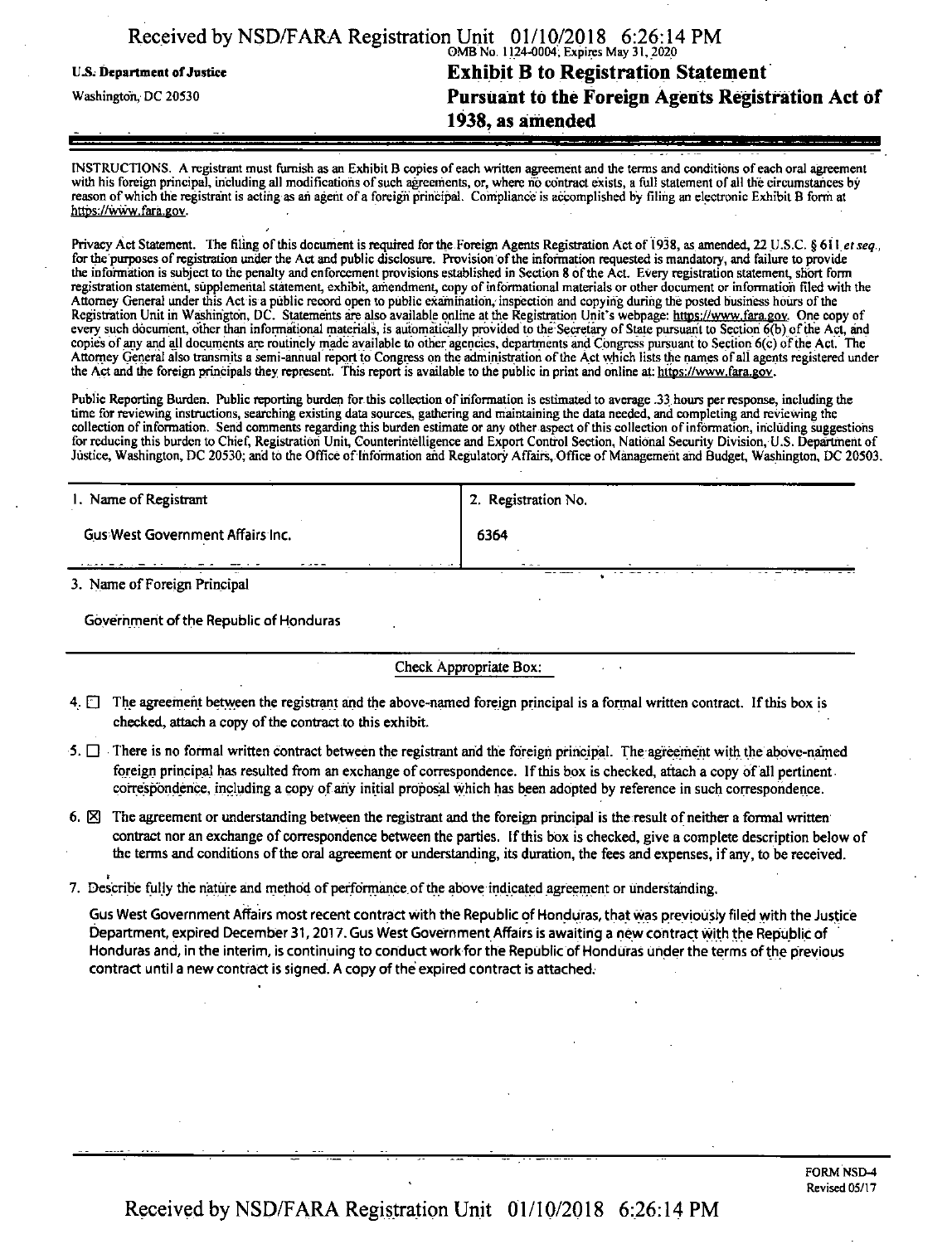| Received by NSD/FARA Registration Unit 01/10/2018 6:26:14 PM |                                                    |
|--------------------------------------------------------------|----------------------------------------------------|
|                                                              |                                                    |
| U.S. Department of Justice                                   | <b>Exhibit B to Registration Statement</b>         |
| Washington, DC 20530                                         | Pursuant to the Foreign Agents Registration Act of |
|                                                              | 1938, as amended                                   |
|                                                              |                                                    |

INSTRUCTIONS. A registrant must furnish as an Exhibit B copies ofeach written agreement and the terms and conditions of each oral agreement with his foreign principal, including all modifications of such agreements, or, where no contract exists, a full statement of all the circumstances by reason ofwhich the registrant is acting as ah agent ofa foreign principal. Compliance is accomplished by filing an electronic Exhibit B form at https://www.fara.gov.

Privacy Act Statement. The filing ofthis document is required forthe Foreign Agents Registration Act of 1938, as amended, 22 U.S.C. § 611 *etseq.,* for the purposes of registration under the Act and public disclosure. Provision of the information requested is mandatory, and failure to provide the information is subject to the penalty and enforcement provisions established in Section 8 ofthe Act. Every registration statement, short form registration statement, supplemental statement, exhibit, amendment, copy ofinformational materials or other document or information filed with the Attorney General under this Act is a public record open to public examination, inspection and copying during the posted business hours ofthe Registration Unit in Washington, DC. Statements are also available online at the Registration Unit's webpage: https://www.fara.gov. One copy of every such document, other than informational materials, is automatically provided to the Secretary of State pursuant to Section 6(b) of the Act, and copies ofany and all documents are routinely made available to other agencies, departments and Congress pursuant to Section 6(c) ofthe Act. The Attorney General also transmits a semi-annual report to Congress on the administration ofthe Act which lists the names ofall agents registered under the Act and the foreign principals they represent. This report is available to the public in print and online at: https://www.fara.gov.

Public Reporting Burden. Public reporting burden for this collection of information is estimated to average .33 hours per response, including the time for reviewing instructions, searching existing data sources, gathering and maintaining the data needed, and completing and reviewing the collection of information. Send comments regarding this burden estimate or any other aspect of this collection of information, including suggestions for reducing this burden to Chief, Registration Unit, Counterintelligence and Export Control Section, National Security Division, U.S. Department of Justice, Washington, DC 20530; and to the Office of Information and Regulatory Affairs, Office of Management and Budget, Washington, DC 20503.

| 1. Name of Registrant            | 2. Registration No. |
|----------------------------------|---------------------|
| Gus West Government Affairs Inc. | 6364                |
| 3. Name of Foreign Principal     | $\sim$ $\sim$ $-$   |

Government of the Republic of Honduras

Check Appropriate Box;

- 4. The agreement between the registrant and the above-named foreign principal is a formal written contract. If this box is checked, attach a copy of the contract to this exhibit.
- $5.$  There is no formal written contract between the registrant and the foreign principal. The agreement with the above-named foreign principal has resulted from an exchange of correspondence. If this box is checked, attach a copy of all pertinent. correspondence, including a copy of any initial proposal which has been adopted by reference in such correspondence.
- 6.  $\boxtimes$  The agreement or understanding between the registrant and the foreign principal is the result of neither a formal written contract nor an exchange of correspondence between the parties. If this box is checked, give a complete description below of the terms and conditions ofthe oral agreement or understanding, its duration, the fees and expenses, ifany, to be received.
- 7. Describe fully the nature and method of performance of the above indicated agreement or understanding.

Gus West Government Affairs most recent contract with the Republic of Honduras, that was previously filed with the Justice Department, expired December 31,2017. Gus West Government Affairs is awaiting a new contract with the Republic of Honduras and, in the interim, is continuing to conduct work for the Republic of Honduras under the terms of the previous contract until a new contract is signed. A copy of the expired contract is attached.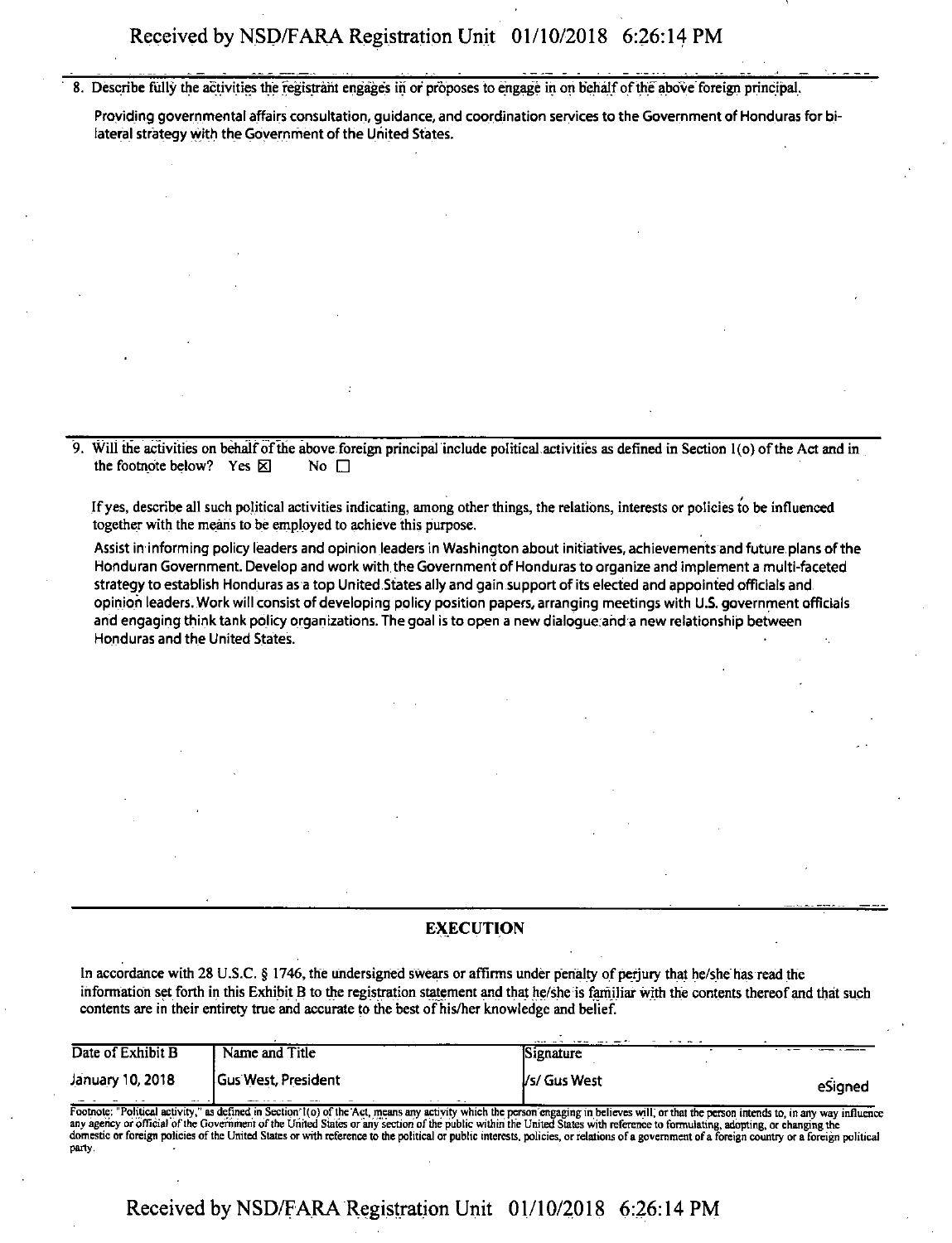8. Describe fully the activities the registrant engages in or proposes to engage in on behalfofthe above'foreign principal.

Providing governmental affairs consultation, guidance, and coordination services to the Government of Honduras for bilateral strategy with the Government of the United States.

9. Will the activities on behalfofthe above foreign principal include political activities as defined in Section <sup>1</sup> (o) ofthe Act and in the footnote below? Yes  $\boxtimes$  No  $\Box$ 

Ifyes, describe all such political activities indicating, among other things, the relations, interests or policies to be influenced together with the means to be employed to achieve this purpose.

Assist in informing policy leaders and opinion leaders in Washington about initiatives, achievements and future.plans ofthe Honduran Government. Develop and work with the Government of Honduras to organize and implement a multi-faceted strategy to establish Honduras as a top United States ally and gain support of its elected and appointed officials and opinion leaders. Work will consist of developing policy position papers, arranging meetings with U.S. government officials and engaging think tank policy organizations. The goal is to open a new dialogue and a new relationship between Honduras and the United States.

#### EXECUTION

In accordance with 28 U.S.C. § 1746, the undersigned swears or affirms under penalty of perjury that he/she has read the contents are in their entirety true and accurate to die best of his/her knowledge and belief.

| Name and Title             | Signature    |                                                                                                                                                                                                                                            |
|----------------------------|--------------|--------------------------------------------------------------------------------------------------------------------------------------------------------------------------------------------------------------------------------------------|
| <b>Gus West, President</b> | Vs/ Gus West | eSigned                                                                                                                                                                                                                                    |
|                            |              | information set forth in this Exhibit B to the registration statement and that he/she is familiar with the contents thereof and that such<br>contents are in their entirety true and accurate to the best of his/her knowledge and belief. |

Footnote: "Political activity," as defined in Section'l(o) of the Act, means any activity which the person engaging in believes will, or that the person intends to, in any way influence any agency or official of the Government of the United States or any section of the public within the United States with reference to formulating, adopting, or changing the domestic or foreign policies of the United States or with reference to the political or public interests, policies, or relations of a government of a foreign country or a foreign political party.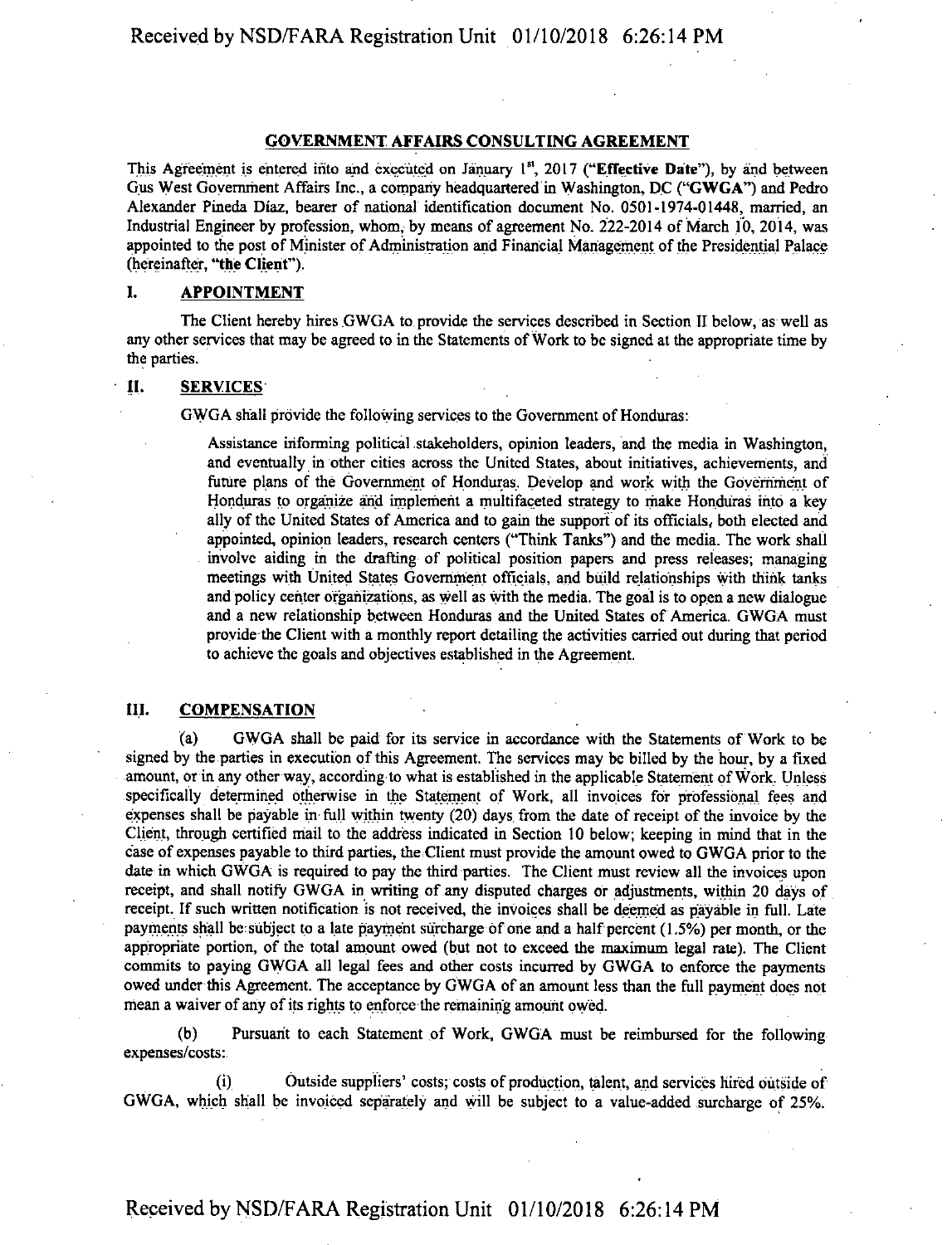# Received by NSD/FARA Registration Unit 01/10/2018 6:26:14 PM

### GOVERNMENT AFFAIRS CONSULTING AGREEMENT

This Agreement is entered into and executed on January  $1<sup>st</sup>$ , 2017 ("Effective Date"), by and between Gus West Government Affairs Inc., a company headquartered in Washington, DC ("GWGA") and Pedro Alexander Pineda Diaz, bearer of national identification document No. 0501-1974-01448, married, an Industrial Engineer by profession, whom, by means of agreement No. 222-2014 of March 10, 2014, was appointed to the post of Minister of Administration and Financial Management of the Presidential Palace (hereinafter, "the Client").

# I. APPOINTMENT

The Client hereby hires GWGA to provide the services described in Section II below, as well as any other services that may be agreed to in the Statements of Work to be signed at the appropriate time by the parties.

#### II. SERVICES

GWGA shall provide the following services to the Government of Honduras:

Assistance informing political stakeholders, opinion leaders, and the media in Washington, and eventually in other cities across the United States, about initiatives, achievements, and future plans of the Government of Honduras. Develop and work with the Government of Honduras to organize and implement a multifaceted strategy to make Honduras into a key ally of the United States of America and to gain the support of its officials, both elected and appointed, opinion leaders, research centers ("Think Tanks") and the media. The work shall involve aiding in the drafting of political position papers and press releases; managing meetings with United States Government officials, and build relationships with think tanks and policy center organizations, as well as with the media. The goal is to open a new dialogue and a new relationship between Honduras and the United States of America. GWGA must provide the Client with a monthly report detailing the activities carried out during that period to achieve the goals and objectives established in the Agreement.

# III. COMPENSATION

(a) GWGA shall be paid for its service in accordance with the Statements of Work to be signed by the parties in execution of this Agreement. The services may be billed by the hour, by a fixed amount, or in any other way, according to what is established in the applicable Statement of Work. Unless specifically determined otherwise in the Statement of Work, all invoices for professional fees and expenses shall be payable in full within twenty (20) days from the date of receipt of the invoice by the Client, through certified mail to the address indicated in Section 10 below; keeping in mind that in the case of expenses payable to third parties, the Client must provide the amount owed to GWGA prior to the date in which GWGA is required to pay the third parties. The Client must review all the invoices upon receipt, and shall notify GWGA in writing of any disputed charges or adjustments, within 20 days of receipt. If such written notification is not received, the invoices shall be deemed as payable in full. Late payments shall be subject to a late payment surcharge of one and a half percent (1.5%) per month, or the appropriate portion, of the total amount owed (but not to exceed the maximum legal rate). The Client commits to paying GWGA all legal fees and other costs incurred by GWGA to enforce the payments owed under this Agreement. The acceptance by GWGA of an amount less than the full payment does not mean a waiver of any of its rights to enforce the remaining amount owed.

(b) Pursuant to each Statement of Work, GWGA must be reimbursed for the following expenses/costs:

(i) Outside suppliers' costs; costs of production, talent, and services hired outside of GWGA, which shall be invoiced separately and will be subject to a value-added surcharge of 25%.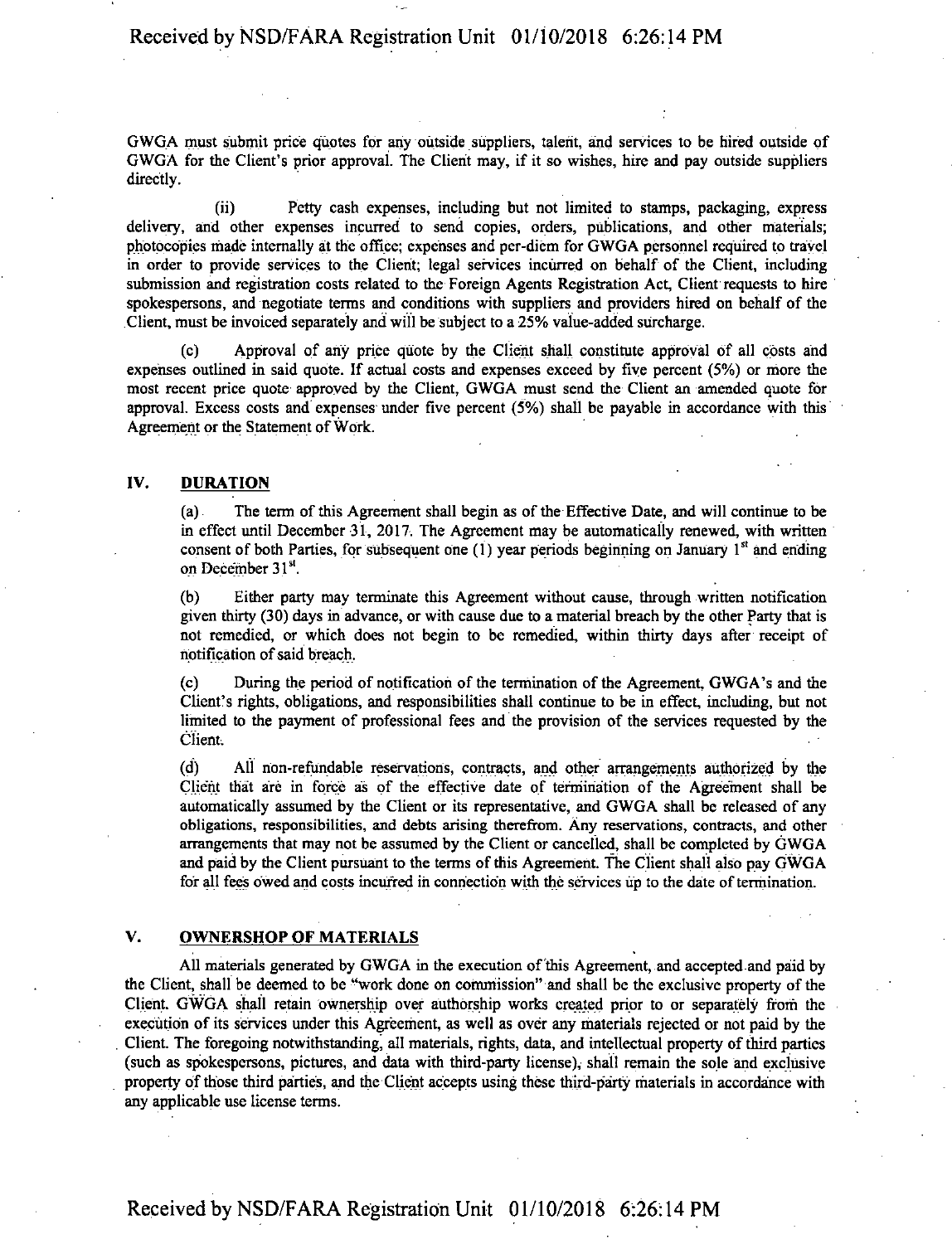# Received by NSD/FARA Registration Unit 01/10/2018 6:26:14 PM

GWGA must submit price quotes for any outside suppliers, talent, and services to be hired outside of GWGA for the Client's prior approval. The Client may, if it so wishes, hire and pay outside suppliers directly.

(ii) Petty cash expenses, including but not limited to stamps, packaging, express delivery, and other expenses incurred to send copies, orders, publications, and other materials; photocopies made internally at the office; expenses and per-diem for GWGA personnel required to travel in order to provide services to the Client; legal services incurred on behalf of the Client, including submission and registration costs related to the Foreign Agents Registration Act, Client requests to hire spokespersons, and negotiate terms and conditions with suppliers and providers hired on behalf of the Client, must be invoiced separately and will be subject to a 25% value-added surcharge.

(c) Approval of any price quote by the Client shall constitute approval of all costs and expenses outlined in said quote. If actual costs and expenses exceed by five percent (5%) or more the most recent price quote approved by the Client, GWGA must send the Client an amended quote for approval. Excess costs and expenses under five percent (5%) shall be payable in accordance with this Agreement or the Statement of Work.

### IV. DURATION

(a) The term ofthis Agreement shall begin as ofthe Effective Date, and will continue to be in effect until December 31, 2017. The Agreement may be automatically renewed, with written consent of both Parties, for subsequent one  $(1)$  year periods beginning on January  $1<sup>st</sup>$  and ending on December 31<sup>st</sup>.

(b) Either party may terminate this Agreement without cause, through written notification given thirty (30) days in advance, or with cause due to a material breach by the other Party that is not remedied, or which does not begin to be remedied, within thirty days after receipt of notification ofsaid breach.

(c) During the period of notification of the termination ofthe Agreement, GWGA's and the Client's rights, obligations, and responsibilities shall continue to be in effect, including, but not limited to the payment of professional fees and the provision of the services requested by the Client.

(d) All non-refundable reservations, contracts, and other arrangements authorized by the Client that are in force as of the effective date of termination of the Agreement shall be automatically assumed by the Client or its representative, and GWGA shall be released of any obligations, responsibilities, and debts arising therefrom. Any reservations, contracts, and other arrangements that may not be assumed by the Client or cancelled, shall be completed by GWGA and paid by the Client pursuant to the terms of this Agreement. The Client shall also pay GWGA for all fees owed and costs incurred in connection with the services up to the date of termination.

## V. OWNERSHOP OF MATERIALS

All materials generated by GWGA in the execution of this Agreement, and accepted and paid by the Client, shall be deemed to be "work done on commission" and shall be the exclusive property ofthe Client. GWGA shall retain ownership over authorship works created prior to or separately from the execution of its services under this Agreement, as well as over any materials rejected or not paid by the Client. The foregoing notwithstanding, all materials, rights, data, and intellectual property ofthird parties (such as spokespersons, pictures, and data with third-party license), shall remain the sole and exclusive property ofthose third parties, and the Client accepts using these third-party materials in accordance with any applicable use license terms.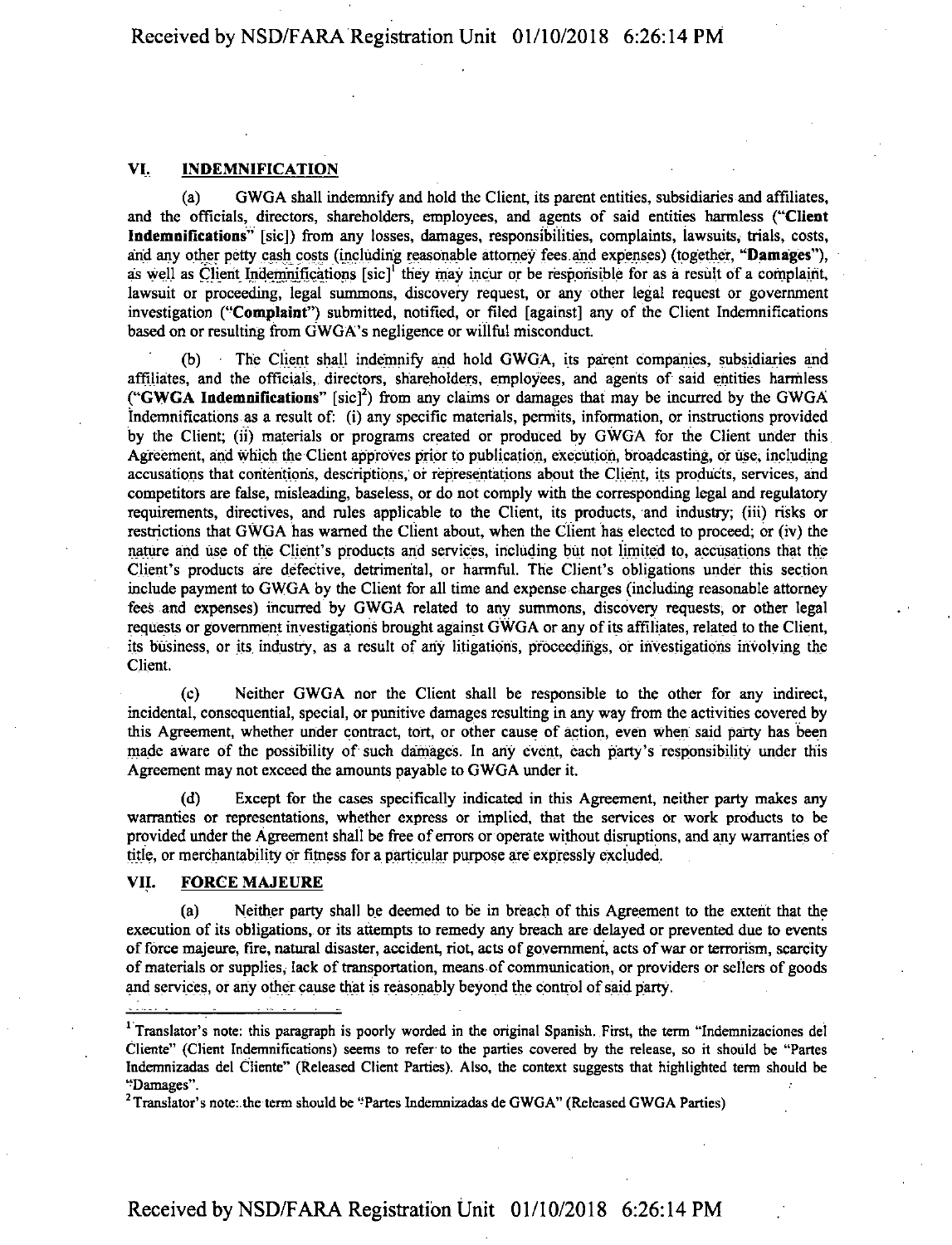## VI, INDEMNIFICATION

(a) GWGA shall indemnify and hold the Client, its parent entities, subsidiaries and affiliates, and the officials, directors, shareholders, employees, and agents of said entities harmless ("Client Indemnifications" [sic]) from any losses, damages, responsibilities, complaints, lawsuits, trials, costs, and any other petty cash costs (including reasonable attorney fees and expenses) (together, "Damages"), as well as Client Indemnifications  $[sic]$ <sup>1</sup> they may incur or be responsible for as a result of a complaint, lawsuit or proceeding, legal summons, discovery request, or any other legal request or government investigation ("Complaint") submitted, notified, or filed [against] any of the Client Indemnifications based on or resulting from GWGA's negligence or willful misconduct.

The Client shall indemnify and hold GWGA, its parent companies, subsidiaries and affiliates, and the officials, directors, shareholders, employees, and agents of said entities harmless ("GWGA Indemnifications"  $[sic]^2$ ) from any claims or damages that may be incurred by the GWGA indemnifications as a result of: (i) any specific materials, permits, information, or instructions provided by the Client; (ii) materials or programs created or produced by GWGA for the Client under this Agreement, and which die Client approves prior to publication, execution, broadcasting, or use, including accusations that contentions, descriptions, of representations about the Client, its products, services, and competitors are false, misleading, baseless, or do not comply with the corresponding legal and regulatory requirements, directives, and rules applicable to the Client, its products, and industry; (iii) risks or restrictions that GWGA has warned the Client about, when the Client has elected to proceed; or (iv) the nature and use of the Client's products and services, including but not limited to, accusations that the Client's products are defective, detrimental, or harmful. The Client's obligations under this section include payment to GWGA by the Client for all time and expense charges (including reasonable attorney fees and expenses) incurred by GWGA related to any summons, discovery requests, or other legal requests or government investigations brought against GWGA or any of its affiliates, related to the Client, its business, or its industry, as a result of any litigations, proceedings, or investigations involving the Client.

(c) Neither GWGA nor the Client shall be responsible to the other for any indirect, incidental, consequential, special, or punitive damages resulting in any way from the activities covered by this Agreement, whether under contract, tort, or other cause of action, even when said party has been made aware of the possibility of such damages. In any event, each party's responsibility under this Agreement may not exceed the amounts payable to GWGA under it.

(d) Except for the cases specifically indicated in this Agreement, neither party makes any warranties or representations, whether express or implied, that the services or work products to be provided under the Agreement shall be free of errors or operate without disruptions, and any warranties of title, or merchantability or fitness for a particular purpose are expressly excluded.

# VII. FORCE MAJEURE

(a) Neither party shall be deemed to be in breach of this Agreement to the extent that the execution of its obligations, or its attempts to remedy any breach are delayed or prevented due to events of force majeure, fire, natural disaster, accident, riot, acts of government, acts of war or terrorism, scarcity of materials or supplies, lack of transportation, means of communication, or providers or sellers of goods and services, or any other cause that is reasonably beyond the control of said party.

<sup>&</sup>lt;sup>1</sup> Translator's note: this paragraph is poorly worded in the original Spanish. First, the term "Indemnizaciones del Cliente" (Client Indemnifications) seems to refer to the parties covered by the release, so it should be "Partes Indemnizadas del Cliente" (Released Client Parties). Also, the context suggests that highlighted term should be "Damages".

 $2$  Translator's note: the term should be "Partes Indemnizadas de GWGA" (Released GWGA Parties)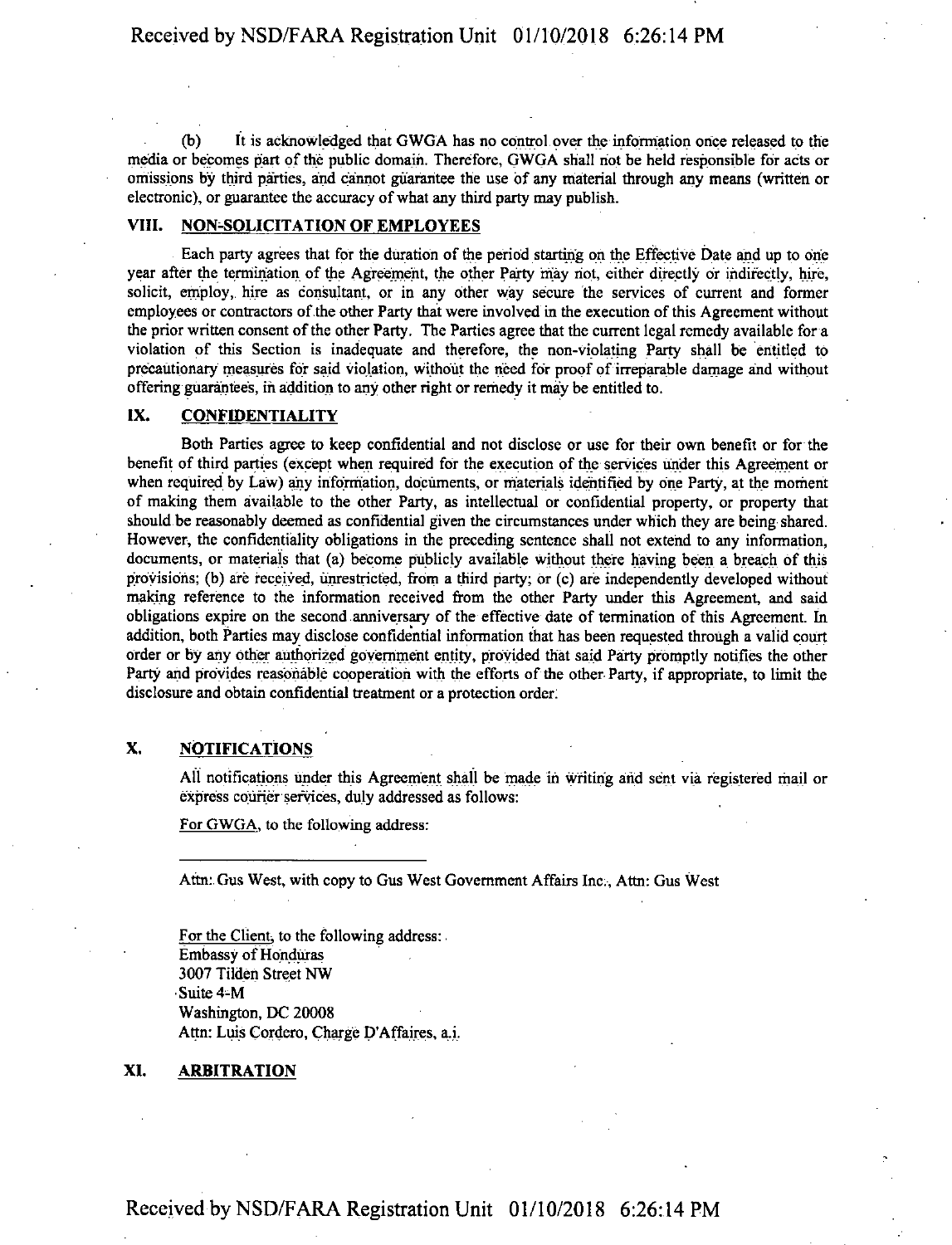(b) It is acknowledged that GWGA has no control over the information once released to the media or becomes part of the public domain. Therefore, GWGA shall not be held responsible for acts or omissions by third parties, and cannot guarantee the use of any material through any means (written or electronic), or guarantee the accuracy of what any third party may publish.

## VIII. NON-SOLICITATION OF EMPLOYEES

Each party agrees that for the duration of the period starting on the Effective Date and up to one year after the termination of the Agreement, the other Party may not, either directly or indirectly, hire, solicit, employ, hire as consultant, or in any other way secure the services of current and former employees or contractors of the other Party that were involved in the execution of this Agreement without the prior written consent of the other Party. The Parties agree that the current legal remedy available for a violation of this Section is inadequate and therefore, the non-violating Party shall be entitled to precautionary measures for said violation, without the need for proof of irreparable damage and without offering guarantees, in addition to any other right or remedy it may be entitled to.

# IX. CONFIDENTIALITY

Both Parties agree to keep confidential and not disclose or use for their own benefit or for the benefit of third parties (except when required for the execution of the services under this Agreement or when required by Law) any information, documents, or materials identified by one Party, at the moment of making them available to the other Party, as intellectual or confidential property, or property that should be reasonably deemed as confidential given the circumstances under which they are being shared. However, the confidentiality obligations in the preceding sentence shall not extend to any information, documents, or materials that (a) become publicly available without there having been a breach of this provisions; (b) are received, unrestricted, from a third party; or (c) are independently developed without making reference to the information received from the other Party under this Agreement, and said obligations expire on the second anniversary of the effective date of termination of this Agreement. In addition, both Parties may disclose confidential information that has been requested through a valid court order or by any other authorized government entity, provided that said Party promptly notifies the other Party and provides reasonable cooperation with the efforts of the other Party, if appropriate, to limit the disclosure and obtain confidential treatment or a protection order.

# X. NOTIFICATIONS

All notifications under this Agreement shall be made in writing arid sent via registered mail or express courier services, duly addressed as follows:

For GWGA. to the following address:

Attn: Gus West, with copy to Gus West Government Affairs Inc., Attn: Gus West

For the Client; to the following address: **Embassy of Honduras** 3007 Tilden Street NW ■Suite 4-M Washington, DC 20008 Attn: Luis Cordero, Charge D'Affaires, a,i.

#### XI. ARBITRATION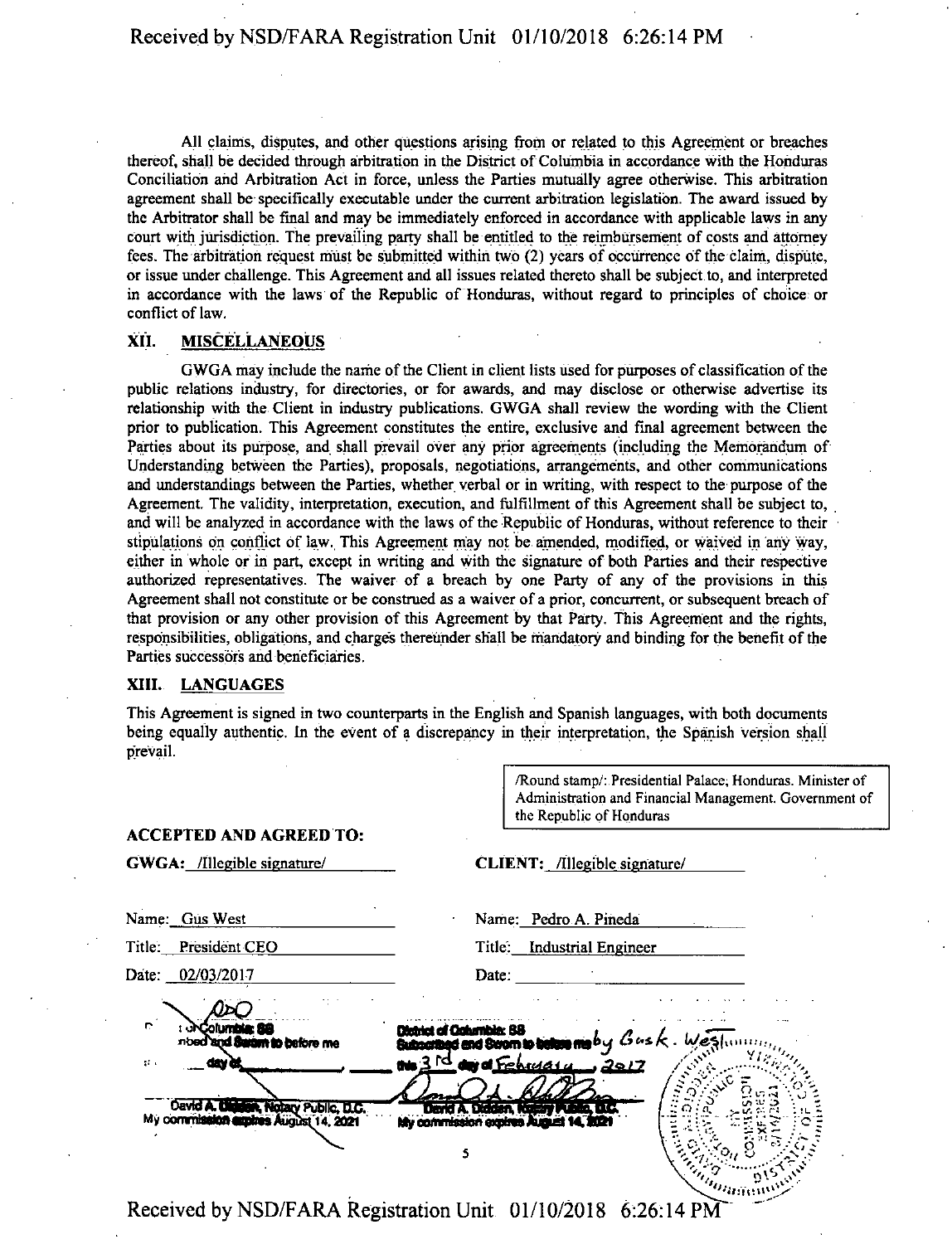All claims, disputes, and other questions arising from or related to this Agreement or breaches thereof, shall be decided through arbitration in the District of Columbia in accordance with the Honduras Conciliation and Arbitration Act in force, unless the Parties mutually agree otherwise. This arbitration agreement shall be specifically executable under the current arbitration legislation. The award issued by the Arbitrator shall be final and may be immediately enforced in accordance with applicable laws in any court with jurisdiction. The prevailing party shall be entitled to the reimbursement of costs and attorney fees. The arbitration request must be submitted within two (2) years of occurrence of die claim, dispute, or issue under challenge. This Agreement and all issues related thereto shall be subject to, and interpreted in accordance with the laws of the Republic of Honduras, without regard to principles of choice or conflict of law.

#### XII. MISCELLANEOUS

GWGA may include the name of the Client in client lists used for purposes of classification of the public relations industry, for directories, or for awards, and may disclose or otherwise advertise its relationship with the Client in industry publications. GWGA shall review the wording with the Client prior to publication. This Agreement constitutes the entire, exclusive and final agreement between the Parties about its purpose, and shall prevail over any prior agreements (including the Memorandum of Understanding between the Parties), proposals, negotiations, arrangements, and other communications and understandings between the Parties, whether verbal or in writing, with respect to the purpose of the Agreement. The validity, interpretation, execution, and fulfillment of this Agreement shall be subject to, and will be analyzed in accordance with the laws of the Republic of Honduras, without reference to their stipulations on conflict of law. This Agreement may not be amended, modified, or waived in any way, either in whole or in part, except in writing and with the signature of both Parties and their respective authorized representatives. The waiver of a breach by one Party of any of the provisions in this Agreement shall not constitute or be construed as a waiver of a prior, concurrent, or subsequent breach of that provision or any other provision of this Agreement by that Party. This Agreement and the rights, responsibilities, obligations, and charges thereunder shall be mandatory and binding for the benefit of the Parties successors and beneficiaries.

#### XIII. LANGUAGES

This Agreement is signed in two counterparts in the English and Spanish languages, with both documents being equally authentic. In the event of a discrepancy in their interpretation, the Spanish version shall prevail.

|                                        | /Round stamp/: Presidential Palace; Honduras. Minister of<br>Administration and Financial Management. Government of<br>the Republic of Honduras |  |
|----------------------------------------|-------------------------------------------------------------------------------------------------------------------------------------------------|--|
| <b>ACCEPTED AND AGREED TO:</b>         |                                                                                                                                                 |  |
| GWGA: /Illegible signature/            | CLIENT: /Illegible signature/                                                                                                                   |  |
| Name: Gus West                         | Name: Pedro A. Pineda                                                                                                                           |  |
| Title: President CEO                   | <b>Industrial Engineer</b><br>Title.                                                                                                            |  |
| Date: 02/03/2017                       | Date.                                                                                                                                           |  |
|                                        |                                                                                                                                                 |  |
| nbed and Swam to before me<br>st i     | Subscribed and Serom to belone ma by $G$ us $k$ . We shin<br>$\frac{3}{10}$ and February 2017                                                   |  |
| David A. Digitian, Notary Public, D.C. | David A. Diddan, Rosay Public, D.C.                                                                                                             |  |
| My commission applies August 14, 2021  | My commission expires August 14                                                                                                                 |  |
|                                        |                                                                                                                                                 |  |
|                                        | Received by NSD/FARA Registration Unit. 01/10/2018 6:26:14 PM                                                                                   |  |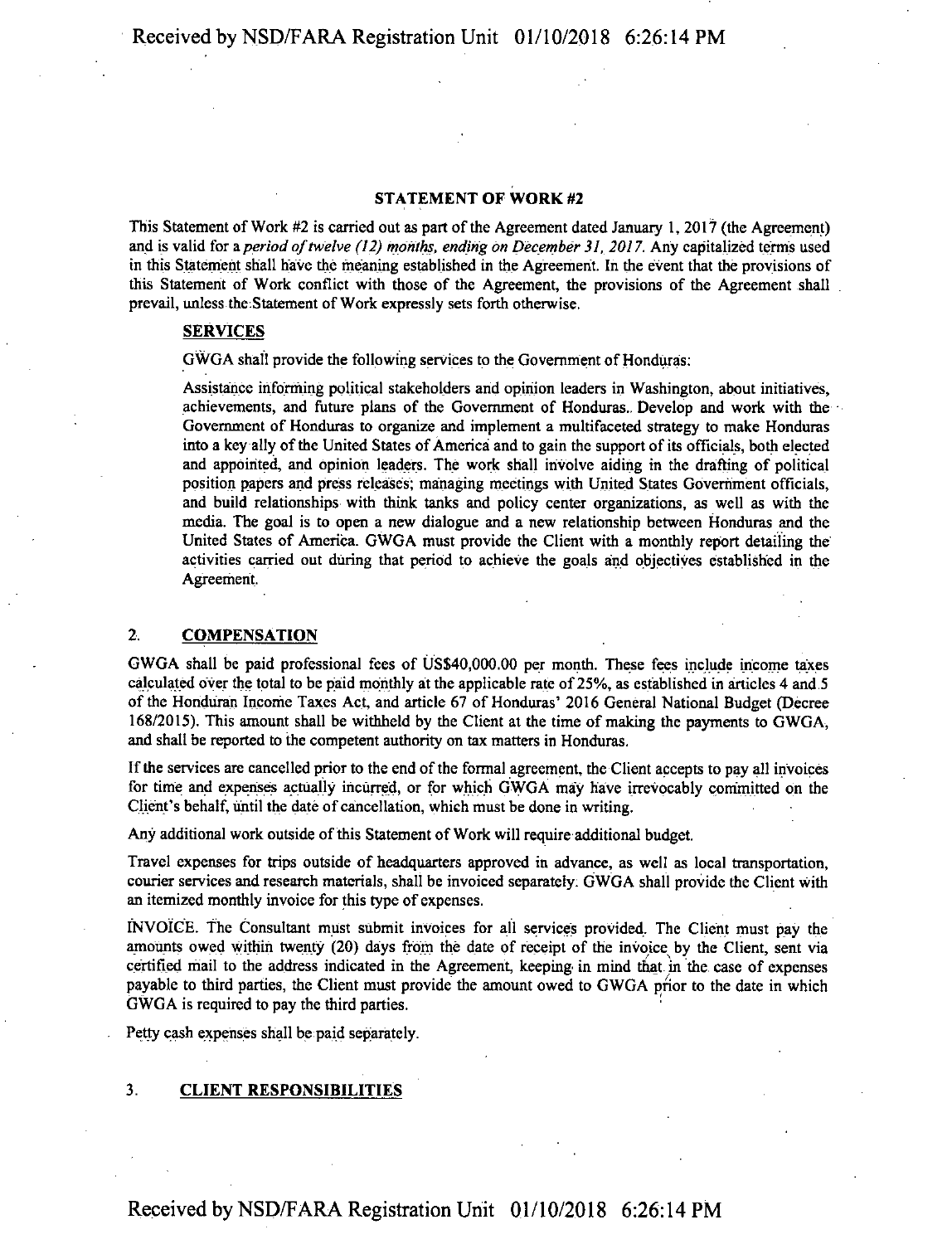#### STATEMENT OF WORK #2

This Statement of Work #2 is carried out as part of the Agreement dated January 1, 2017 (the Agreement) and is valid for a*period oftwelve (12) months, ending on December 31, 2017.* Any capitalized terms used in this Statement shall have the meaning established in the Agreement. In the event that the provisions of this Statement of Work conflict with those of the Agreement, the provisions of the Agreement shall prevail, unless the;Statement of Work expressly sets forth otherwise.

#### SERVICES

GWGA shall provide the following services to the Government of Honduras:

Assistance informing political stakeholders and opinion leaders in Washington, about initiatives, achievements, and future plans of the Government of Honduras.. Develop and work with the Government of Honduras to organize and implement a multifaceted strategy to make Honduras into a key ally of the United States of America and to gain the support of its officials, both elected and appointed, and opinion leaders. The work shall involve aiding in the drafting of political position papers and press releases; managing meetings with United States Government officials, and build relationships with think tanks and policy center organizations, as well as with the media. The goal is to open a new dialogue and a new relationship between Honduras and the United States of America. GWGA must provide the Client with a monthly report detailing the activities carried out during that period to achieve the goals and objectives established in the Agreement.

### 2. **COMPENSATION**

GWGA shall be paid professional fees of US\$40,000.00 per month. These fees include income taxes calculated over the total to be paid monthly at the applicable rate of 25%, as established in articles 4 and.5 ofthe Honduran Income Taxes Act, and article 67 of Honduras' 2016 General National Budget (Decree 168/2015). This amount shall be withheld by the Client at the time of making the payments to GWGA, and shall be reported to the competent authority on tax matters in Honduras.

Ifthe services are cancelled prior to the end ofthe formal agreement, the Client accepts to pay all invoices for time and expenses actually incurred, or for which GWGA may have irrevocably committed on the Client's behalf, until the date of cancellation, which must be done in writing.

Any additional work outside of this Statement of Work will require additional budget.

Travel expenses for trips outside of headquarters approved in advance, as well as local transportation, courier services and research materials, shall be invoiced separately. GWGA shall provide the Client with an itemized monthly invoice for this type of expenses.

INVOICE. The Consultant must submit invoices for all services provided. The Client must pay the amounts owed within twenty (20) days from the date of receipt of the invoice by the Client, sent via certified mail to the address indicated in the Agreement, keeping' in mind that, in the case of expenses payable to third parties, the Client must provide the amount owed to GWGA prior to the date in which GWGA is required to pay the third parties.

Petty cash expenses shall be paid separately.

# 3. CLIENT RESPONSIBILITIES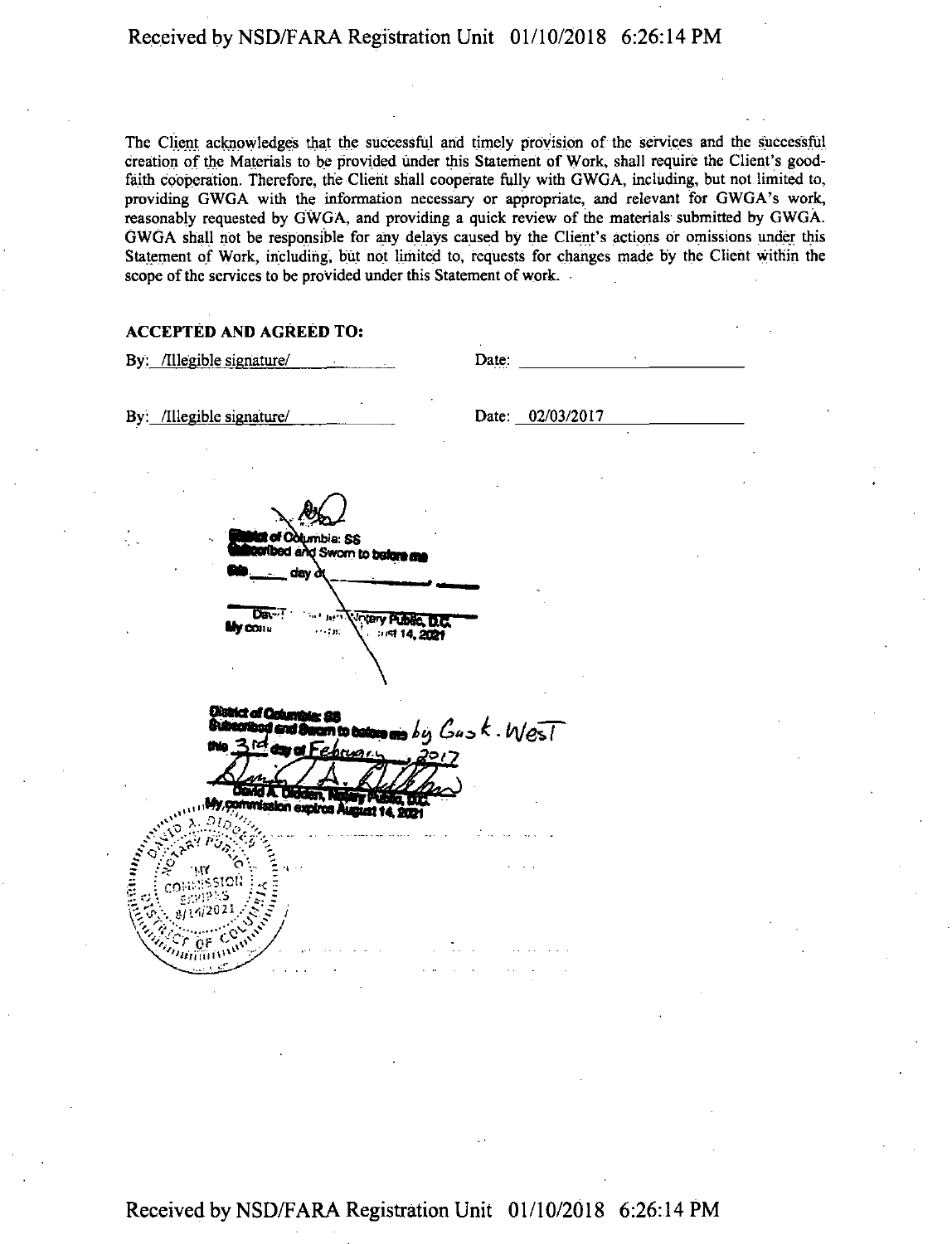The Client acknowledges that the successful and timely provision of the services and the successful creation of the Materials to be provided under this Statement of Work, shall require the Client's goodfaith cooperation. Therefore, the Client shall cooperate fully with GWGA, including, but not limited to, providing GWGA with the information necessary or appropriate, and relevant for GWGA's work, reasonably requested by GWGA, and providing a quick review of the materials submitted by GWGA. GWGA shall not be responsible for any delays caused by the Client's actions or omissions under this Statement of Work, including, but not limited to, requests for changes made by the Client within the scope of the services to be provided under this Statement of work.

# ACCEPTED AND AGREED TO:

By: /Illegible signature/ Date: By: /Illegible signature/ Date: 02/03/2017 CWumbia: SS Sworn to before a  $\frac{1}{2}$ day $\frac{1}{2}$ "KPT *<u><b>Thery Public DR</u>*  $\mathbf{m}_\mathrm{u}$  $+1.70$ **1158 14, 2021 Oistrict of Columbia: 8th** ftfmrftBJ*u*«lAnn(qbatona» *i oi* Wy, commission expires  $\omega_{\alpha} \times \mathit{Sto}_{\alpha}''$  $\mathcal{C} \subset \mathbb{R}^n$  $\int_{\frac{1}{2}}^{\frac{1}{2}} \frac{\sqrt{3}}{\sqrt{2}} \int_{\frac{1}{2}}^{\frac{1}{2}} \frac{\sqrt{3}}{\sqrt{2}} \int_{\frac{1}{2}}^{\frac{1}{2}} \frac{\sqrt{3}}{\sqrt{2}} \int_{\frac{1}{2}}^{\frac{1}{2}} \frac{\sqrt{3}}{\sqrt{2}} \int_{\frac{1}{2}}^{\frac{1}{2}} \frac{\sqrt{3}}{\sqrt{2}} \int_{\frac{1}{2}}^{\frac{1}{2}} \frac{\sqrt{3}}{\sqrt{2}} \int_{\frac{1}{2}}^{\frac{1}{2}} \frac{\sqrt{3}}{\sqrt{2}} \int_{\frac{1}{2}}$  $\phi$  i,  $\frac{1}{2}$ j i 4/20 21 ........-.oCV *<'vyr* OP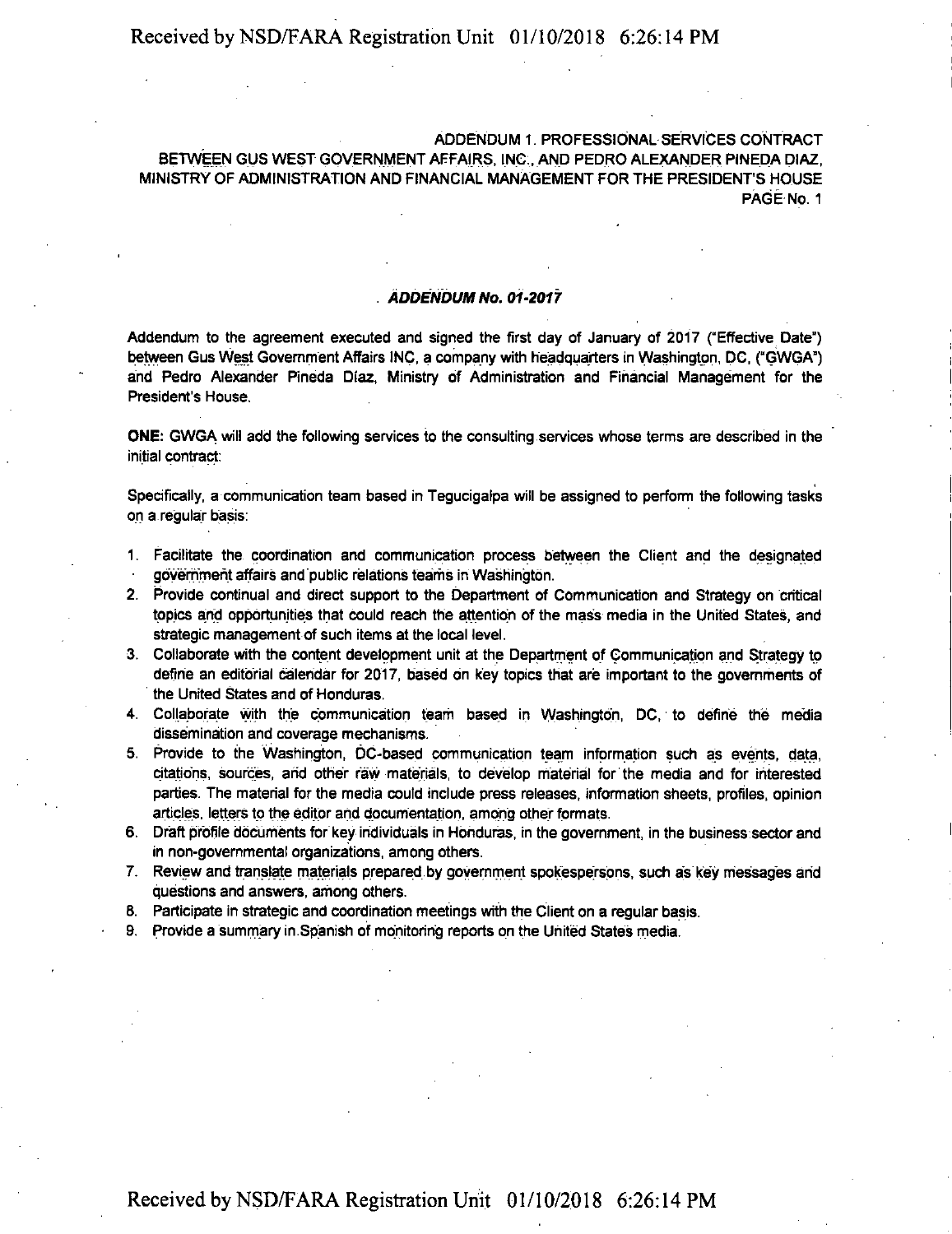ADDENDUM 1. PROFESSIONAL SERVICES CONTRACT BETWEEN GUS WEST GOVERNMENT AFFAIRS. INC;, AND PEDRO ALEXANDER PINEDA DIAZ, MINISTRY OF ADMINISTRATION AND FINANCIAL MANAGEMENT FOR THE PRESIDENT'S HOUSE PAGE No. <sup>1</sup>

#### *ADDENDUM No. 01-2017*

Addendum to the agreement executed and signed the first day of January of 2017 ("Effective Date") between Gus West Government Affairs INC, a company with headquarters in Washington, DC, ("GWGA") and Pedro Alexander Pineda Diaz, Ministry of Administration and Financial Management for the President's House.

ONE: GWGA will add the following services to the consulting services whose terms are described in the initial contract:

Specifically, a communication team based in Tegucigalpa will be assigned to perform the following tasks on a regular basis:

- 1. Facilitate the coordination and communication process between the Client and the designated government affairs and'public relations teams in Washington.
- 2. Provide continual and direct support to the Department of Communication and Strategy on critical topics and opportunities that could reach the attention of the mass media in the United States, and strategic management of such items at the local level.
- 3. Collaborate with the content development unit at the Department of Communication and Strategy to define an editorial calendar for 2017, based on key topics that are important to the governments of the United States and of Honduras.
- 4. Collaborate with the communication team based in Washington, DC, to define the media dissemination and coverage mechanisms.
- 5. Provide to the Washington, DC-based communication team information such as events, data, citations, sources, and other raw materials, to develop material for the media and for interested parties. The material for the media could include press releases, information sheets, profiles, opinion articles, letters to the editor and documentation, among other formats.
- 6. Draft profile documents for key individuals in Honduras, in the government, in the business sector and in non-governmental organizations, among others.
- 7. Review and translate materials prepared by government spokespersons, such as key messages arid questions and answers, among others.
- 6. Participate in strategic and coordination meetings with the Client on a regular basis.
- 9. Provide a Summary in.Spanish of monitoring reports on the United States media.